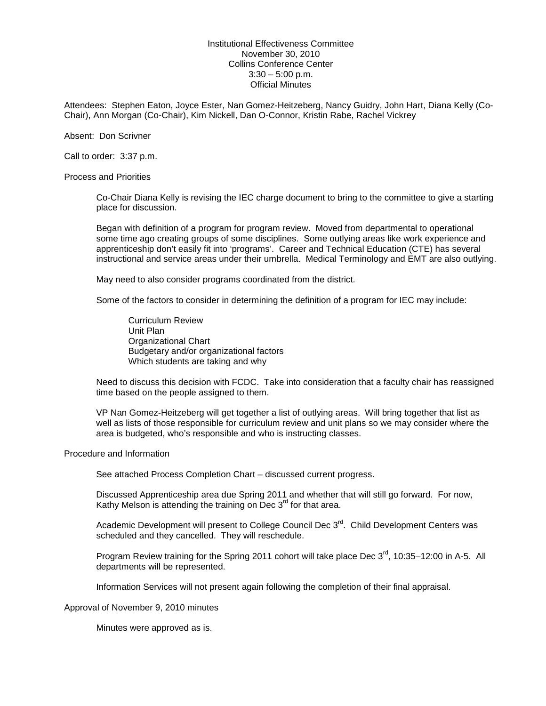Institutional Effectiveness Committee November 30, 2010 Collins Conference Center  $3:30 - 5:00$  p.m. Official Minutes

Attendees: Stephen Eaton, Joyce Ester, Nan Gomez-Heitzeberg, Nancy Guidry, John Hart, Diana Kelly (Co-Chair), Ann Morgan (Co-Chair), Kim Nickell, Dan O-Connor, Kristin Rabe, Rachel Vickrey

Absent: Don Scrivner

Call to order: 3:37 p.m.

Process and Priorities

Co-Chair Diana Kelly is revising the IEC charge document to bring to the committee to give a starting place for discussion.

Began with definition of a program for program review. Moved from departmental to operational some time ago creating groups of some disciplines. Some outlying areas like work experience and apprenticeship don't easily fit into 'programs'. Career and Technical Education (CTE) has several instructional and service areas under their umbrella. Medical Terminology and EMT are also outlying.

May need to also consider programs coordinated from the district.

Some of the factors to consider in determining the definition of a program for IEC may include:

Curriculum Review Unit Plan Organizational Chart Budgetary and/or organizational factors Which students are taking and why

Need to discuss this decision with FCDC. Take into consideration that a faculty chair has reassigned time based on the people assigned to them.

VP Nan Gomez-Heitzeberg will get together a list of outlying areas. Will bring together that list as well as lists of those responsible for curriculum review and unit plans so we may consider where the area is budgeted, who's responsible and who is instructing classes.

Procedure and Information

See attached Process Completion Chart – discussed current progress.

Discussed Apprenticeship area due Spring 2011 and whether that will still go forward. For now, Kathy Melson is attending the training on Dec  $3<sup>rd</sup>$  for that area.

Academic Development will present to College Council Dec  $3<sup>rd</sup>$ . Child Development Centers was scheduled and they cancelled. They will reschedule.

Program Review training for the Spring 2011 cohort will take place Dec  $3^{\text{rd}}$ , 10:35–12:00 in A-5. All departments will be represented.

Information Services will not present again following the completion of their final appraisal.

Approval of November 9, 2010 minutes

Minutes were approved as is.